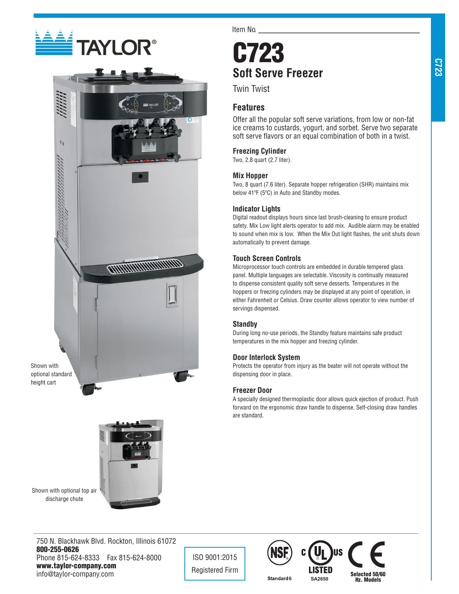



Shown with optional standard height cart

Shown with optional top air discharge chute



Item No.

# C723 **Soft Serve Freezer**

Twin Twist

## **Features**

Offer all the popular soft serve variations, from low or non-fat ice creams to custards, yogurt, and sorbet. Serve two separate soft serve flavors or an equal combination of both in a twist.

## **Freezing Cylinder**

Two, 2.8 quart (2.7 liter).

## **Mix Hopper**

Two, 8 quart (7.6 liter). Separate hopper refrigeration (SHR) maintains mix below 41ºF (5ºC) in Auto and Standby modes.

## **Indicator Lights**

Digital readout displays hours since last brush-cleaning to ensure product safety. Mix Low light alerts operator to add mix. Audible alarm may be enabled to sound when mix is low. When the Mix Out light flashes, the unit shuts down automatically to prevent damage.

## **Touch Screen Controls**

Microprocessor touch controls are embedded in durable tempered glass panel. Multiple languages are selectable. Viscosity is continually measured to dispense consistent quality soft serve desserts. Temperatures in the hoppers or freezing cylinders may be displayed at any point of operation, in either Fahrenheit or Celsius. Draw counter allows operator to view number of servings dispensed.

## **Standby**

During long no-use periods, the Standby feature maintains safe product temperatures in the mix hopper and freezing cylinder.

## **Door Interlock System**

Protects the operator from injury as the beater will not operate without the dispensing door in place.

## **Freezer Door**

A specially designed thermoplastic door allows quick ejection of product. Push forward on the ergonomic draw handle to dispense. Self-closing draw handles are standard.

ISO 9001:2015